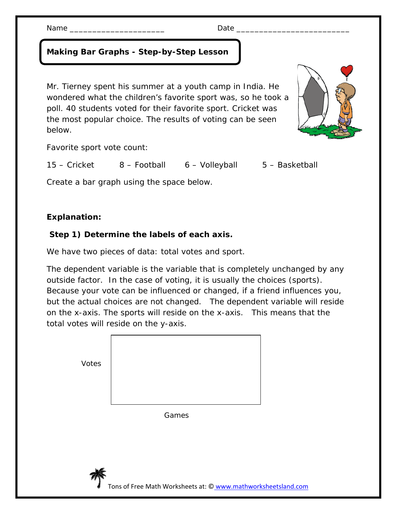## **Making Bar Graphs - Step-by-Step Lesson**

Mr. Tierney spent his summer at a youth camp in India. He wondered what the children's favorite sport was, so he took a poll. 40 students voted for their favorite sport. Cricket was the most popular choice. The results of voting can be seen below.

Favorite sport vote count:

15 – Cricket 8 – Football 6 – Volleyball 5 – Basketball

Create a bar graph using the space below.

## **Explanation:**

## **Step 1) Determine the labels of each axis.**

We have two pieces of data: total votes and sport.

The dependent variable is the variable that is completely unchanged by any outside factor. In the case of voting, it is usually the choices (sports). Because your vote can be influenced or changed, if a friend influences you, but the actual choices are not changed. The dependent variable will reside on the x-axis. The sports will reside on the x-axis. This means that the total votes will reside on the y-axis.

| Votes |       |
|-------|-------|
|       | Games |